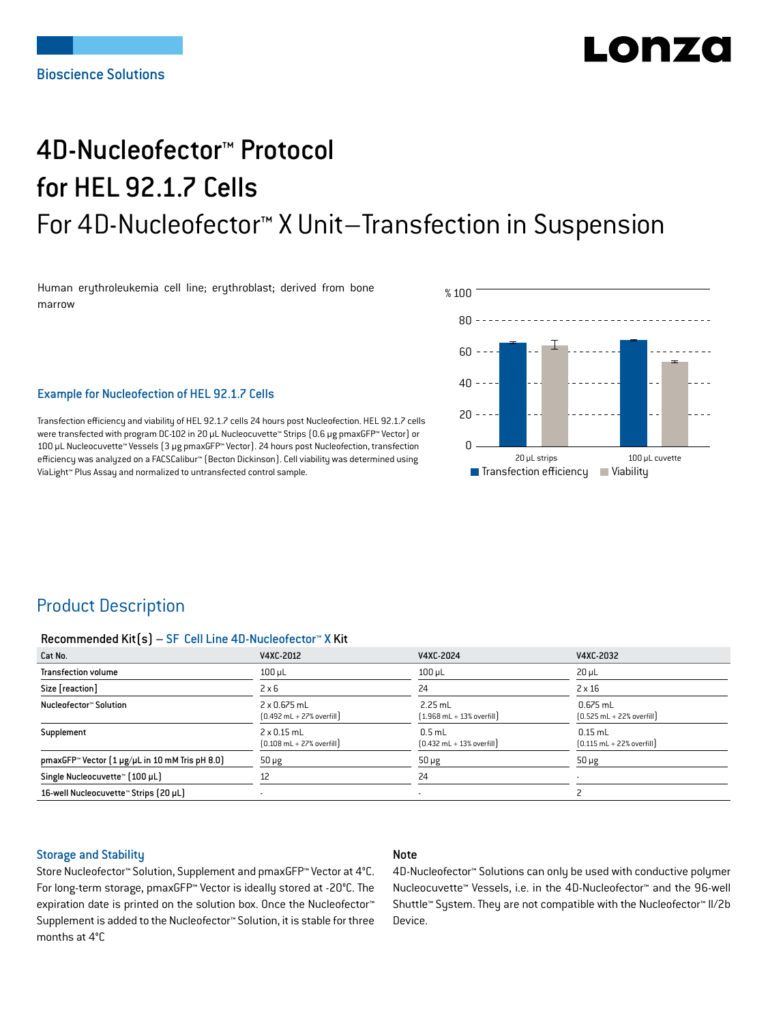# LO N740

# 4D-Nucleofector™ Protocol for HEL 92.1.7 Cells For 4D-Nucleofector™ X Unit–Transfection in Suspension

Human erythroleukemia cell line; erythroblast; derived from bone marrow



## Example for Nucleofection of HEL 92.1.7 Cells

Transfection efficiency and viability of HEL 92.1.7 cells 24 hours post Nucleofection. HEL 92.1.7 cells were transfected with program DC-102 in 20 μL Nucleocuvette™ Strips (0.6 μg pmaxGFP™ Vector) or 100 μL Nucleocuvette™ Vessels (3 μg pmaxGFP™ Vector). 24 hours post Nucleofection, transfection efficiency was analyzed on a FACSCalibur™ (Becton Dickinson). Cell viability was determined using ViaLight™ Plus Assay and normalized to untransfected control sample.

# Product Description

#### Recommended Kit(s) – SF Cell Line 4D-Nucleofector™ X Kit

| Cat No.                                                           | V4XC-2012                                                          | V4XC-2024                                                 | V4XC-2032                                                  |
|-------------------------------------------------------------------|--------------------------------------------------------------------|-----------------------------------------------------------|------------------------------------------------------------|
| <b>Transfection volume</b>                                        | $100$ $\mu$ L                                                      | $100$ $\mu$ L                                             | $20 \mu L$                                                 |
| Size [reaction]                                                   | $2 \times 6$                                                       | 24                                                        | $2 \times 16$                                              |
| Nucleofector™ Solution                                            | 2 x 0.675 mL<br>$[0.492 \text{ mL} + 27\% \text{ overfill}]$       | $2.25$ mL<br>$[1.968 \text{ mL} + 13\% \text{ overfill}]$ | $0.675$ mL<br>$[0.525 \text{ mL} + 22\% \text{ overfill}]$ |
| Supplement                                                        | $2 \times 0.15$ mL<br>$[0.108 \text{ mL} + 27\% \text{ overfill}]$ | $0.5$ mL<br>$[0.432 \text{ mL} + 13\% \text{ overfill}]$  | $0.15$ mL<br>$[0.115 \text{ mL} + 22\% \text{ overfill}]$  |
| pmaxGFP <sup>*</sup> Vector $[1 \mu g/\mu L$ in 10 mM Tris pH 8.0 | $50 \mu g$                                                         | $50 \mu g$                                                | $50 \mu g$                                                 |
| Single Nucleocuvette™ [100 µL]                                    | 12                                                                 | 24                                                        | ۰                                                          |
| 16-well Nucleocuvette™ Strips (20 µL)                             |                                                                    | $\blacksquare$                                            |                                                            |

## Storage and Stability

## Note

Store Nucleofector™ Solution, Supplement and pmaxGFP™ Vector at 4°C. For long-term storage, pmaxGFP™ Vector is ideally stored at -20°C. The expiration date is printed on the solution box. Once the Nucleofector™ Supplement is added to the Nucleofector™ Solution, it is stable for three months at 4°C

4D-Nucleofector™ Solutions can only be used with conductive polymer Nucleocuvette™ Vessels, i.e. in the 4D-Nucleofector™ and the 96-well Shuttle™ System. They are not compatible with the Nucleofector™ II/2b Device.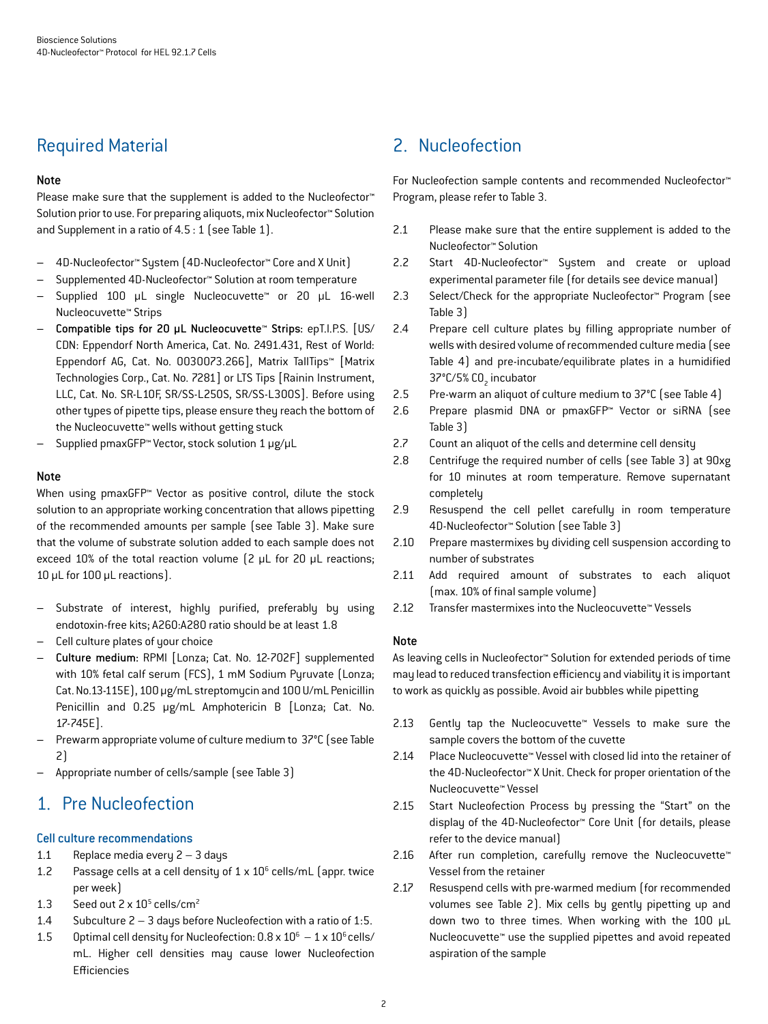# Required Material

## Note

Please make sure that the supplement is added to the Nucleofector<sup>™</sup> Solution prior to use. For preparing aliquots, mix Nucleofector™ Solution and Supplement in a ratio of 4.5 : 1 (see Table 1).

- 4D-Nucleofector™ System (4D-Nucleofector™ Core and X Unit)
- Supplemented 4D-Nucleofector™ Solution at room temperature
- Supplied 100 µL single Nucleocuvette™ or 20 µL 16-well Nucleocuvette™ Strips
- Compatible tips for 20 µL Nucleocuvette™ Strips: epT.I.P.S. [US/ CDN: Eppendorf North America, Cat. No. 2491.431, Rest of World: Eppendorf AG, Cat. No. 0030073.266], Matrix TallTips™ [Matrix Technologies Corp., Cat. No. 7281] or LTS Tips [Rainin Instrument, LLC, Cat. No. SR-L10F, SR/SS-L250S, SR/SS-L300S]. Before using other types of pipette tips, please ensure they reach the bottom of the Nucleocuvette™ wells without getting stuck
- Supplied pmaxGFP™ Vector, stock solution 1 μg/μL

## Note

When using pmaxGFP™ Vector as positive control, dilute the stock solution to an appropriate working concentration that allows pipetting of the recommended amounts per sample (see Table 3). Make sure that the volume of substrate solution added to each sample does not exceed 10% of the total reaction volume (2 μL for 20 μL reactions; 10 μL for 100 μL reactions).

- Substrate of interest, highly purified, preferably by using endotoxin-free kits; A260:A280 ratio should be at least 1.8
- Cell culture plates of your choice
- Culture medium: RPMI [Lonza; Cat. No. 12-702F] supplemented with 10% fetal calf serum (FCS), 1 mM Sodium Pyruvate (Lonza; Cat. No.13-115E), 100 μg/mL streptomycin and 100 U/mL Penicillin Penicillin and 0.25 µg/mL Amphotericin B [Lonza; Cat. No. 17-745E].
- Prewarm appropriate volume of culture medium to 37°C (see Table 2)
- Appropriate number of cells/sample (see Table 3)

# 1. Pre Nucleofection

## Cell culture recommendations

- 1.1 Replace media every 2 3 days
- 1.2 Passage cells at a cell density of  $1 \times 10^6$  cells/mL (appr. twice per week)
- 1.3 Seed out  $2 \times 10^5$  cells/cm<sup>2</sup>
- 1.4 Subculture 2 3 days before Nucleofection with a ratio of 1:5.
- 1.5 Optimal cell density for Nucleofection:  $0.8 \times 10^6 1 \times 10^6$  cells/ mL. Higher cell densities may cause lower Nucleofection Efficiencies

# 2. Nucleofection

For Nucleofection sample contents and recommended Nucleofector™ Program, please refer to Table 3.

- 2.1 Please make sure that the entire supplement is added to the Nucleofector™ Solution
- 2.2 Start 4D-Nucleofector™ System and create or upload experimental parameter file (for details see device manual)
- 2.3 Select/Check for the appropriate Nucleofector™ Program (see Table 3)
- 2.4 Prepare cell culture plates by filling appropriate number of wells with desired volume of recommended culture media (see Table 4) and pre-incubate/equilibrate plates in a humidified 37°C/5% CO<sub>2</sub> incubator
- 2.5 Pre-warm an aliquot of culture medium to 37°C (see Table 4)
- 2.6 Prepare plasmid DNA or pmaxGFP™ Vector or siRNA (see Table 3)
- 2.7 Count an aliquot of the cells and determine cell density
- 2.8 Centrifuge the required number of cells (see Table 3) at 90xg for 10 minutes at room temperature. Remove supernatant completely
- 2.9 Resuspend the cell pellet carefully in room temperature 4D-Nucleofector™ Solution (see Table 3)
- 2.10 Prepare mastermixes by dividing cell suspension according to number of substrates
- 2.11 Add required amount of substrates to each aliquot (max. 10% of final sample volume)
- 2.12 Transfer mastermixes into the Nucleocuvette™ Vessels

## Note

As leaving cells in Nucleofector™ Solution for extended periods of time may lead to reduced transfection efficiency and viability it is important to work as quickly as possible. Avoid air bubbles while pipetting

- 2.13 Gently tap the Nucleocuvette™ Vessels to make sure the sample covers the bottom of the cuvette
- 2.14 Place Nucleocuvette™ Vessel with closed lid into the retainer of the 4D-Nucleofector™ X Unit. Check for proper orientation of the Nucleocuvette™ Vessel
- 2.15 Start Nucleofection Process by pressing the "Start" on the display of the 4D-Nucleofector™ Core Unit (for details, please refer to the device manual)
- 2.16 After run completion, carefully remove the Nucleocuvette™ Vessel from the retainer
- 2.17 Resuspend cells with pre-warmed medium (for recommended volumes see Table 2). Mix cells by gently pipetting up and down two to three times. When working with the 100 µL Nucleocuvette™ use the supplied pipettes and avoid repeated aspiration of the sample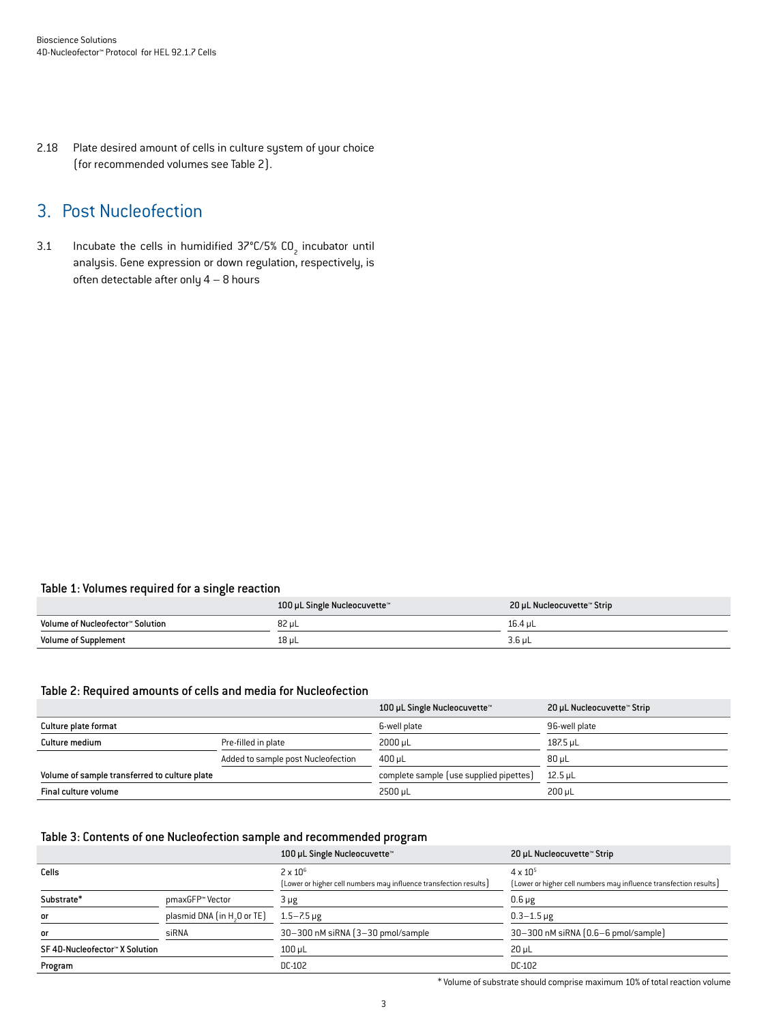2.18 Plate desired amount of cells in culture system of your choice (for recommended volumes see Table 2).

# 3. Post Nucleofection

3.1 Incubate the cells in humidified  $37^{\circ}$ C/5% CO<sub>2</sub> incubator until analysis. Gene expression or down regulation, respectively, is often detectable after only  $4 - 8$  hours

## Table 1: Volumes required for a single reaction

|                                  | 100 µL Single Nucleocuvette™ | 20 µL Nucleocuvette™ Strip |
|----------------------------------|------------------------------|----------------------------|
| Volume of Nucleofector™ Solution | 82 uL                        | 16.4 uL                    |
| <b>Volume of Supplement</b>      | 18 µL                        | $3.6$ µL                   |

## Table 2: Required amounts of cells and media for Nucleofection

|                                               |                                    | 100 µL Single Nucleocuvette™            | 20 µL Nucleocuvette™ Strip |
|-----------------------------------------------|------------------------------------|-----------------------------------------|----------------------------|
| Culture plate format                          |                                    | 6-well plate                            | 96-well plate              |
| Culture medium                                | Pre-filled in plate                | 2000 uL                                 | 187.5 uL                   |
|                                               | Added to sample post Nucleofection | $400 \,\mathrm{\upmu L}$                | $80 \mu L$                 |
| Volume of sample transferred to culture plate |                                    | complete sample (use supplied pipettes) | $12.5$ µL                  |
| Final culture volume                          |                                    | 2500 uL                                 | 200 uL                     |

## Table 3: Contents of one Nucleofection sample and recommended program

|                                |                                         | 100 µL Single Nucleocuvette™                                      | 20 µL Nucleocuvette™ Strip                                        |
|--------------------------------|-----------------------------------------|-------------------------------------------------------------------|-------------------------------------------------------------------|
| Cells                          |                                         | $2 \times 10^6$                                                   | $4 \times 10^{5}$                                                 |
|                                |                                         | (Lower or higher cell numbers may influence transfection results) | [Lower or higher cell numbers may influence transfection results] |
| Substrate*                     | pmaxGFP™ Vector                         | 3 µg                                                              | $0.6 \mu g$                                                       |
| <b>or</b>                      | plasmid DNA (in H <sub>2</sub> O or TE) | $1.5 - 7.5 \,\mu g$                                               | $0.3 - 1.5 \,\mu g$                                               |
| <b>or</b>                      | siRNA                                   | 30-300 nM siRNA (3-30 pmol/sample)                                | 30-300 nM siRNA (0.6-6 pmol/sample)                               |
| SF 4D-Nucleofector™ X Solution |                                         | $100$ $\mu$ L                                                     | $20 \mu L$                                                        |
| Program                        |                                         | DC-102                                                            | DC-102                                                            |

\* Volume of substrate should comprise maximum 10% of total reaction volume